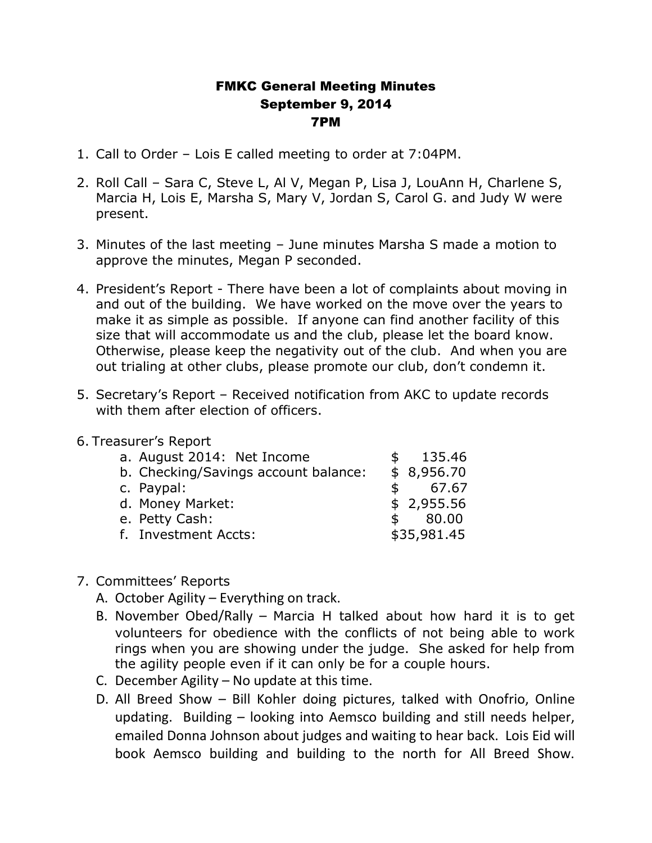## FMKC General Meeting Minutes September 9, 2014 7PM

- 1. Call to Order Lois E called meeting to order at 7:04PM.
- 2. Roll Call Sara C, Steve L, Al V, Megan P, Lisa J, LouAnn H, Charlene S, Marcia H, Lois E, Marsha S, Mary V, Jordan S, Carol G. and Judy W were present.
- 3. Minutes of the last meeting June minutes Marsha S made a motion to approve the minutes, Megan P seconded.
- 4. President's Report There have been a lot of complaints about moving in and out of the building. We have worked on the move over the years to make it as simple as possible. If anyone can find another facility of this size that will accommodate us and the club, please let the board know. Otherwise, please keep the negativity out of the club. And when you are out trialing at other clubs, please promote our club, don't condemn it.
- 5. Secretary's Report Received notification from AKC to update records with them after election of officers.

## 6. Treasurer's Report

| a. August 2014: Net Income           | $\mathsf{S}$ | 135.46      |
|--------------------------------------|--------------|-------------|
| b. Checking/Savings account balance: |              | \$8,956.70  |
| c. Paypal:                           | $\mathsf{s}$ | 67.67       |
| d. Money Market:                     |              | \$2,955.56  |
| e. Petty Cash:                       |              | \$80.00     |
| f. Investment Accts:                 |              | \$35,981.45 |
|                                      |              |             |

## 7. Committees' Reports

- A. October Agility Everything on track.
- B. November Obed/Rally Marcia H talked about how hard it is to get volunteers for obedience with the conflicts of not being able to work rings when you are showing under the judge. She asked for help from the agility people even if it can only be for a couple hours.
- C. December Agility No update at this time.
- D. All Breed Show Bill Kohler doing pictures, talked with Onofrio, Online updating. Building – looking into Aemsco building and still needs helper, emailed Donna Johnson about judges and waiting to hear back. Lois Eid will book Aemsco building and building to the north for All Breed Show.